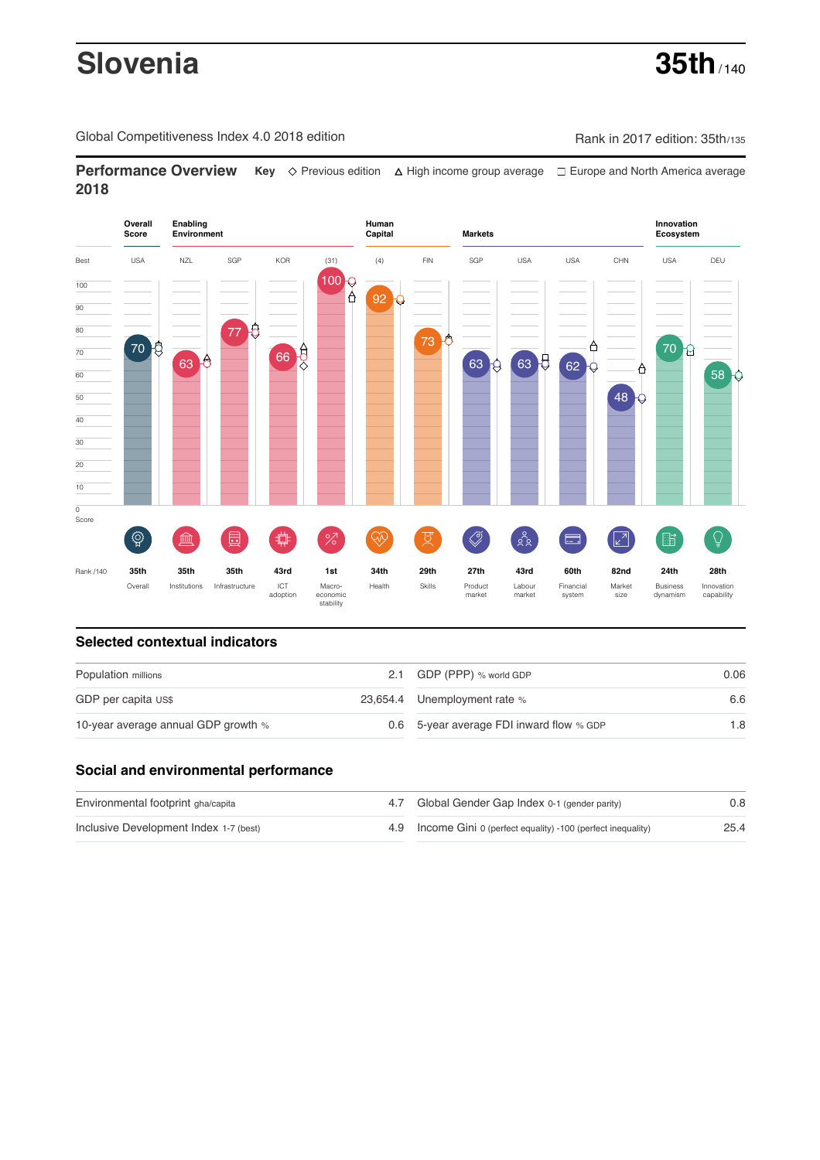# **Slovenia 35th** / 140

Global Competitiveness Index 4.0 2018 edition Company Rank in 2017 edition: 35th/135

**Performance Overview** Key  $\Diamond$  Previous edition ∆ High income group average  $\Box$  Europe and North America average **2018**



# **Selected contextual indicators**

| Population millions                 |  | 2.1 GDP (PPP) % world GDP                | 0.06 |  |
|-------------------------------------|--|------------------------------------------|------|--|
| GDP per capita US\$                 |  | 23,654.4 Unemployment rate %             | 6.6  |  |
| 10-year average annual GDP growth % |  | 0.6 5-year average FDI inward flow % GDP | 1.8  |  |

## **Social and environmental performance**

| Environmental footprint gha/capita     | 4.7 Global Gender Gap Index 0-1 (gender parity)                | 0.8  |
|----------------------------------------|----------------------------------------------------------------|------|
| Inclusive Development Index 1-7 (best) | 4.9 Income Gini 0 (perfect equality) -100 (perfect inequality) | 25.4 |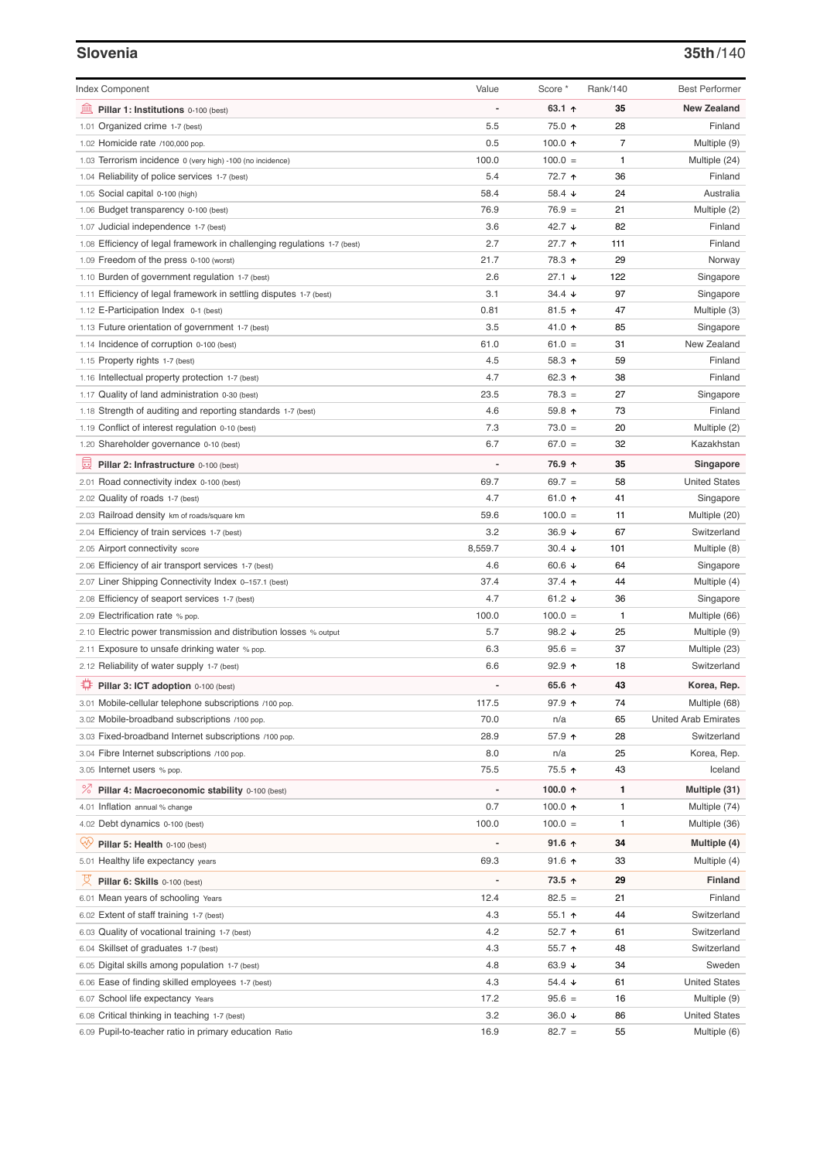### **Slovenia 35th**/140

| <b>Index Component</b>                                                   | Value   | Score *           | Rank/140       | <b>Best Performer</b>       |
|--------------------------------------------------------------------------|---------|-------------------|----------------|-----------------------------|
| 無<br>Pillar 1: Institutions 0-100 (best)                                 |         | 63.1 $\uparrow$   | 35             | <b>New Zealand</b>          |
| 1.01 Organized crime 1-7 (best)                                          | 5.5     | 75.0 ↑            | 28             | Finland                     |
| 1.02 Homicide rate /100,000 pop.                                         | 0.5     | 100.0 $\uparrow$  | $\overline{7}$ | Multiple (9)                |
| 1.03 Terrorism incidence 0 (very high) -100 (no incidence)               | 100.0   | $100.0 =$         | $\mathbf{1}$   | Multiple (24)               |
| 1.04 Reliability of police services 1-7 (best)                           | 5.4     | 72.7 ↑            | 36             | Finland                     |
| 1.05 Social capital 0-100 (high)                                         | 58.4    | 58.4 ↓            | 24             | Australia                   |
| 1.06 Budget transparency 0-100 (best)                                    | 76.9    | $76.9 =$          | 21             | Multiple (2)                |
| 1.07 Judicial independence 1-7 (best)                                    | 3.6     | 42.7 $\sqrt{ }$   | 82             | Finland                     |
| 1.08 Efficiency of legal framework in challenging regulations 1-7 (best) | 2.7     | 27.7 <sub>0</sub> | 111            | Finland                     |
| 1.09 Freedom of the press 0-100 (worst)                                  | 21.7    | 78.3 ↑            | 29             | Norway                      |
| 1.10 Burden of government regulation 1-7 (best)                          | 2.6     | $27.1 +$          | 122            | Singapore                   |
| 1.11 Efficiency of legal framework in settling disputes 1-7 (best)       | 3.1     | 34.4 $\sqrt{ }$   | 97             | Singapore                   |
| 1.12 E-Participation Index 0-1 (best)                                    | 0.81    | $81.5$ 1          | 47             | Multiple (3)                |
| 1.13 Future orientation of government 1-7 (best)                         | 3.5     | 41.0 ↑            | 85             | Singapore                   |
| 1.14 Incidence of corruption 0-100 (best)                                | 61.0    | $61.0 =$          | 31             | New Zealand                 |
| 1.15 Property rights 1-7 (best)                                          | 4.5     | 58.3 ↑            | 59             | Finland                     |
| 1.16 Intellectual property protection 1-7 (best)                         | 4.7     | 62.3 $\uparrow$   | 38             | Finland                     |
| 1.17 Quality of land administration 0-30 (best)                          | 23.5    | $78.3 =$          | 27             | Singapore                   |
| 1.18 Strength of auditing and reporting standards 1-7 (best)             | 4.6     | 59.8 ↑            | 73             | Finland                     |
| 1.19 Conflict of interest regulation 0-10 (best)                         | 7.3     | $73.0 =$          | 20             | Multiple (2)                |
| 1.20 Shareholder governance 0-10 (best)                                  | 6.7     | $67.0 =$          | 32             | Kazakhstan                  |
| 囩<br>Pillar 2: Infrastructure 0-100 (best)                               |         | 76.9 ↑            | 35             | Singapore                   |
| 2.01 Road connectivity index 0-100 (best)                                | 69.7    | $69.7 =$          | 58             | <b>United States</b>        |
| 2.02 Quality of roads 1-7 (best)                                         | 4.7     | 61.0 $\uparrow$   | 41             | Singapore                   |
| 2.03 Railroad density km of roads/square km                              | 59.6    | $100.0 =$         | 11             | Multiple (20)               |
| 2.04 Efficiency of train services 1-7 (best)                             | 3.2     | 36.9 $\sqrt{ }$   | 67             | Switzerland                 |
| 2.05 Airport connectivity score                                          | 8,559.7 | $30.4 +$          | 101            | Multiple (8)                |
| 2.06 Efficiency of air transport services 1-7 (best)                     | 4.6     | 60.6 $\sqrt{ }$   | 64             | Singapore                   |
| 2.07 Liner Shipping Connectivity Index 0-157.1 (best)                    | 37.4    | 37.4 $\uparrow$   | 44             | Multiple (4)                |
| 2.08 Efficiency of seaport services 1-7 (best)                           | 4.7     | 61.2 $\sqrt{ }$   | 36             | Singapore                   |
| 2.09 Electrification rate % pop.                                         | 100.0   | $100.0 =$         | 1              | Multiple (66)               |
| 2.10 Electric power transmission and distribution losses % output        | 5.7     | 98.2 $\sqrt{ }$   | 25             | Multiple (9)                |
| 2.11 Exposure to unsafe drinking water % pop.                            | 6.3     | $95.6 =$          | 37             | Multiple (23)               |
| 2.12 Reliability of water supply 1-7 (best)                              | 6.6     | 92.9 $\uparrow$   | 18             | Switzerland                 |
| ₩<br>Pillar 3: ICT adoption 0-100 (best)                                 |         | 65.6 ↑            | 43             | Korea, Rep.                 |
| 3.01 Mobile-cellular telephone subscriptions /100 pop.                   | 117.5   | 97.9 个            | 74             | Multiple (68)               |
| 3.02 Mobile-broadband subscriptions /100 pop.                            | 70.0    | n/a               | 65             | <b>United Arab Emirates</b> |
| 3.03 Fixed-broadband Internet subscriptions /100 pop.                    | 28.9    | 57.9 个            | 28             | Switzerland                 |
|                                                                          | 8.0     | n/a               | 25             |                             |
| 3.04 Fibre Internet subscriptions /100 pop.                              | 75.5    | 75.5 个            | 43             | Korea, Rep.<br>Iceland      |
| 3.05 Internet users % pop.                                               |         |                   |                |                             |
| <sup>%</sup> Pillar 4: Macroeconomic stability 0-100 (best)              |         | 100.0 $\uparrow$  | 1              | Multiple (31)               |
| 4.01 Inflation annual % change                                           | 0.7     | 100.0 $\uparrow$  | 1              | Multiple (74)               |
| 4.02 Debt dynamics 0-100 (best)                                          | 100.0   | $100.0 =$         | $\mathbf{1}$   | Multiple (36)               |
| ųÿ<br>Pillar 5: Health 0-100 (best)                                      |         | $91.6$ ↑          | 34             | Multiple (4)                |
| 5.01 Healthy life expectancy years                                       | 69.3    | 91.6 ↑            | 33             | Multiple (4)                |
| 섯<br>Pillar 6: Skills 0-100 (best)                                       |         | 73.5 ↑            | 29             | <b>Finland</b>              |
| 6.01 Mean years of schooling Years                                       | 12.4    | $82.5 =$          | 21             | Finland                     |
| 6.02 Extent of staff training 1-7 (best)                                 | 4.3     | $55.1$ 1          | 44             | Switzerland                 |
| 6.03 Quality of vocational training 1-7 (best)                           | 4.2     | 52.7 $\uparrow$   | 61             | Switzerland                 |
| 6.04 Skillset of graduates 1-7 (best)                                    | 4.3     | 55.7 个            | 48             | Switzerland                 |
| 6.05 Digital skills among population 1-7 (best)                          | 4.8     | 63.9 $\sqrt{ }$   | 34             | Sweden                      |
| 6.06 Ease of finding skilled employees 1-7 (best)                        | 4.3     | 54.4 $\sqrt{ }$   | 61             | <b>United States</b>        |
| School life expectancy Years<br>6.07                                     | 17.2    | $95.6 =$          | 16             | Multiple (9)                |
| 6.08 Critical thinking in teaching 1-7 (best)                            | 3.2     | 36.0 $\sqrt{ }$   | 86             | <b>United States</b>        |
| 6.09 Pupil-to-teacher ratio in primary education Ratio                   | 16.9    | $82.7 =$          | 55             | Multiple (6)                |